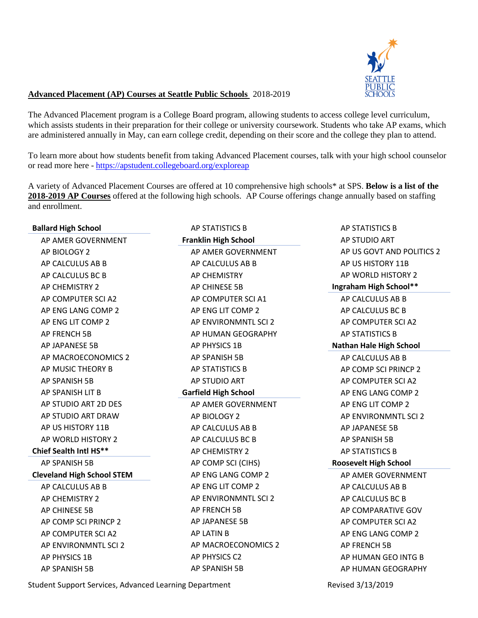

## **Advanced Placement (AP) Courses at Seattle Public Schools** 2018-2019

The Advanced Placement program is a College Board program, allowing students to access college level curriculum, which assists students in their preparation for their college or university coursework. Students who take AP exams, which are administered annually in May, can earn college credit, depending on their score and the college they plan to attend.

To learn more about how students benefit from taking Advanced Placement courses, talk with your high school counselor or read more here - <https://apstudent.collegeboard.org/exploreap>

A variety of Advanced Placement Courses are offered at 10 comprehensive high schools\* at SPS. **Below is a list of the 2018-2019 AP Courses** offered at the following high schools. AP Course offerings change annually based on staffing and enrollment.

| <b>Ballard High School</b>        | AP STATISTICS B             | AP STATISTICS B                |
|-----------------------------------|-----------------------------|--------------------------------|
| AP AMER GOVERNMENT                | <b>Franklin High School</b> | AP STUDIO ART                  |
| AP BIOLOGY 2                      | AP AMER GOVERNMENT          | AP US GOVT AND POLITICS 2      |
| AP CALCULUS AB B                  | AP CALCULUS AB B            | AP US HISTORY 11B              |
| AP CALCULUS BC B                  | AP CHEMISTRY                | AP WORLD HISTORY 2             |
| AP CHEMISTRY 2                    | AP CHINESE 5B               | Ingraham High School**         |
| AP COMPUTER SCI A2                | AP COMPUTER SCI A1          | AP CALCULUS AB B               |
| AP ENG LANG COMP 2                | AP ENG LIT COMP 2           | AP CALCULUS BC B               |
| AP ENG LIT COMP 2                 | AP ENVIRONMNTL SCI 2        | AP COMPUTER SCI A2             |
| AP FRENCH 5B                      | AP HUMAN GEOGRAPHY          | AP STATISTICS B                |
| AP JAPANESE 5B                    | AP PHYSICS 1B               | <b>Nathan Hale High School</b> |
| AP MACROECONOMICS 2               | AP SPANISH 5B               | AP CALCULUS AB B               |
| AP MUSIC THEORY B                 | AP STATISTICS B             | AP COMP SCI PRINCP 2           |
| AP SPANISH 5B                     | AP STUDIO ART               | AP COMPUTER SCI A2             |
| AP SPANISH LIT B                  | <b>Garfield High School</b> | AP ENG LANG COMP 2             |
| AP STUDIO ART 2D DES              | AP AMER GOVERNMENT          | AP ENG LIT COMP 2              |
| AP STUDIO ART DRAW                | AP BIOLOGY 2                | AP ENVIRONMNTL SCI 2           |
| AP US HISTORY 11B                 | AP CALCULUS AB B            | AP JAPANESE 5B                 |
| AP WORLD HISTORY 2                | AP CALCULUS BC B            | AP SPANISH 5B                  |
| Chief Sealth Intl HS**            | AP CHEMISTRY 2              | AP STATISTICS B                |
| AP SPANISH 5B                     | AP COMP SCI (CIHS)          | <b>Roosevelt High School</b>   |
| <b>Cleveland High School STEM</b> | AP ENG LANG COMP 2          | AP AMER GOVERNMENT             |
| AP CALCULUS AB B                  | AP ENG LIT COMP 2           | AP CALCULUS AB B               |
| AP CHEMISTRY 2                    | AP ENVIRONMNTL SCI 2        | AP CALCULUS BC B               |
| AP CHINESE 5B                     | AP FRENCH 5B                | AP COMPARATIVE GOV             |
| AP COMP SCI PRINCP 2              | AP JAPANESE 5B              | AP COMPUTER SCI A2             |
| AP COMPUTER SCI A2                | AP LATIN B                  | AP ENG LANG COMP 2             |
| AP ENVIRONMNTL SCI 2              | AP MACROECONOMICS 2         | AP FRENCH 5B                   |
| AP PHYSICS 1B                     | AP PHYSICS C2               | AP HUMAN GEO INTG B            |
| AP SPANISH 5B                     | AP SPANISH 5B               | AP HUMAN GEOGRAPHY             |
|                                   |                             |                                |

Student Support Services, Advanced Learning Department Revised 3/13/2019